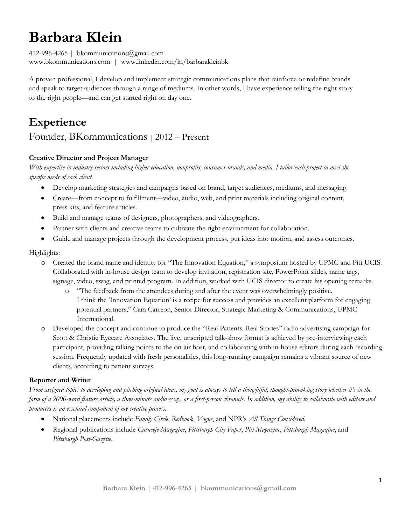# **Barbara Klein**

412-996-4265 | bkommunications@gmail.com www.bkommunications.com | www.linkedin.com/in/barbarakleinbk

A proven professional, I develop and implement strategic communications plans that reinforce or redefine brands and speak to target audiences through a range of mediums. In other words, I have experience telling the right story to the right people—and can get started right on day one.

# **Experience**

### Founder, BKommunications | 2012 – Present

### **Creative Director and Project Manager**

*With expertise in industry sectors including higher education, nonprofits, consumer brands, and media, I tailor each project to meet the specific needs of each client.*

- Develop marketing strategies and campaigns based on brand, target audiences, mediums, and messaging.
- Create—from concept to fulfillment—video, audio, web, and print materials including original content, press kits, and feature articles.
- Build and manage teams of designers, photographers, and videographers.
- Partner with clients and creative teams to cultivate the right environment for collaboration.
- Guide and manage projects through the development process, put ideas into motion, and assess outcomes.

#### Highlights:

- o Created the brand name and identity for "The Innovation Equation," a symposium hosted by UPMC and Pitt UCIS. Collaborated with in-house design team to develop invitation, registration site, PowerPoint slides, name tags, signage, video, swag, and printed program. In addition, worked with UCIS director to create his opening remarks.
	- o "The feedback from the attendees during and after the event was overwhelmingly positive. I think the 'Innovation Equation' is a recipe for success and provides an excellent platform for engaging potential partners," Cara Carreon, Senior Director, Strategic Marketing & Communications, UPMC International.
- o Developed the concept and continue to produce the "Real Patients. Real Stories" radio advertising campaign for Scott & Christie Eyecare Associates. The live, unscripted talk-show format is achieved by pre-interviewing each participant, providing talking points to the on-air host, and collaborating with in-house editors during each recording session. Frequently updated with fresh personalities, this long-running campaign remains a vibrant source of new clients, according to patient surveys.

#### **Reporter and Writer**

*From assigned topics to developing and pitching original ideas, my goal is always to tell a thoughtful, thought-provoking story whether it's in the form of a 2000-word feature article, a three-minute audio essay, or a first-person chronicle. In addition, my ability to collaborate with editors and producers is an essential component of my creative process.*

- National placements include *Family Circle*, *Redbook*, *Vogue*, and NPR's *All Things Considered*.
- Regional publications include *Carnegie Magazine*, *Pittsburgh City Paper*, *Pitt Magazine*, *Pittsburgh Magazine*, and *Pittsburgh Post-Gazette*.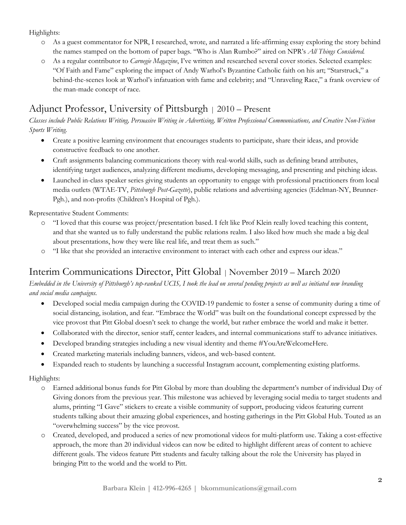### Highlights:

- o As a guest commentator for NPR, I researched, wrote, and narrated a life-affirming essay exploring the story behind the names stamped on the bottom of paper bags. "Who is Alan Rumbo?" aired on NPR's *All Things Considered.*
- o As a regular contributor to *Carnegie Magazine*, I've written and researched several cover stories. Selected examples: "Of Faith and Fame" exploring the impact of Andy Warhol's Byzantine Catholic faith on his art; "Starstruck," a behind-the-scenes look at Warhol's infatuation with fame and celebrity; and "Unraveling Race," a frank overview of the man-made concept of race.

# Adjunct Professor, University of Pittsburgh <sup>|</sup> 2010 – Present

*Classes include Public Relations Writing, Persuasive Writing in Advertising, Written Professional Communications, and Creative Non-Fiction Sports Writing.*

- Create a positive learning environment that encourages students to participate, share their ideas, and provide constructive feedback to one another.
- Craft assignments balancing communications theory with real-world skills, such as defining brand attributes, identifying target audiences, analyzing different mediums, developing messaging, and presenting and pitching ideas.
- Launched in-class speaker series giving students an opportunity to engage with professional practitioners from local media outlets (WTAE-TV, *Pittsburgh Post-Gazette*), public relations and advertising agencies (Edelman-NY, Brunner-Pgh.), and non-profits (Children's Hospital of Pgh.).

Representative Student Comments:

- o "I loved that this course was project/presentation based. I felt like Prof Klein really loved teaching this content, and that she wanted us to fully understand the public relations realm. I also liked how much she made a big deal about presentations, how they were like real life, and treat them as such."
- o "I like that she provided an interactive environment to interact with each other and express our ideas."

### Interim Communications Director, Pitt Global | November 2019 – March 2020

### *Embedded in the University of Pittsburgh's top-ranked UCIS, I took the lead on several pending projects as well as initiated new branding and social media campaigns.*

- Developed social media campaign during the COVID-19 pandemic to foster a sense of community during a time of social distancing, isolation, and fear. "Embrace the World" was built on the foundational concept expressed by the vice provost that Pitt Global doesn't seek to change the world, but rather embrace the world and make it better.
- Collaborated with the director, senior staff, center leaders, and internal communications staff to advance initiatives.
- Developed branding strategies including a new visual identity and theme #YouAreWelcomeHere.
- Created marketing materials including banners, videos, and web-based content.
- Expanded reach to students by launching a successful Instagram account, complementing existing platforms.

### Highlights:

- o Earned additional bonus funds for Pitt Global by more than doubling the department's number of individual Day of Giving donors from the previous year. This milestone was achieved by leveraging social media to target students and alums, printing "I Gave" stickers to create a visible community of support, producing videos featuring current students talking about their amazing global experiences, and hosting gatherings in the Pitt Global Hub. Touted as an "overwhelming success" by the vice provost.
- o Created, developed, and produced a series of new promotional videos for multi-platform use. Taking a cost-effective approach, the more than 20 individual videos can now be edited to highlight different areas of content to achieve different goals. The videos feature Pitt students and faculty talking about the role the University has played in bringing Pitt to the world and the world to Pitt.